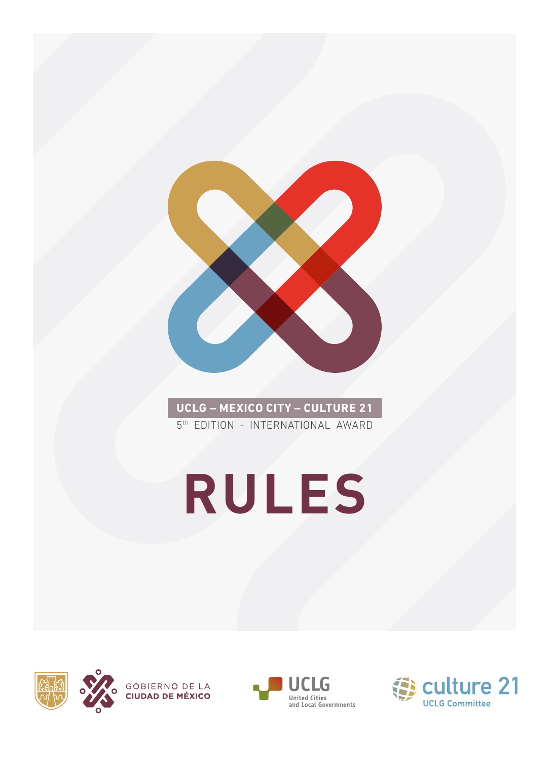

**UCLG – MEXICO CITY – CULTURE 21** 5<sup>th</sup> EDITION - INTERNATIONAL AWARD

# **RULES**





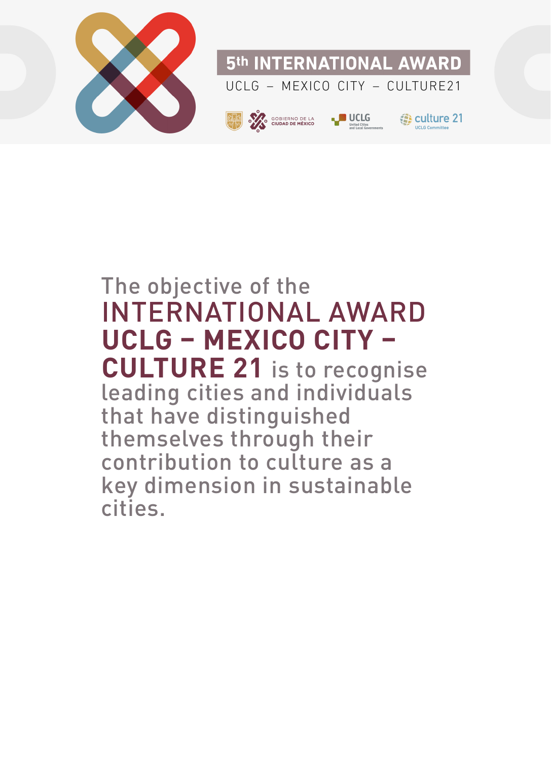

### The objective of the INTERNATIONAL AWARD **UCLG – MEXICO CITY – CULTURE 21** is to recognise leading cities and individuals that have distinguished themselves through their contribution to culture as a key dimension in sustainable cities.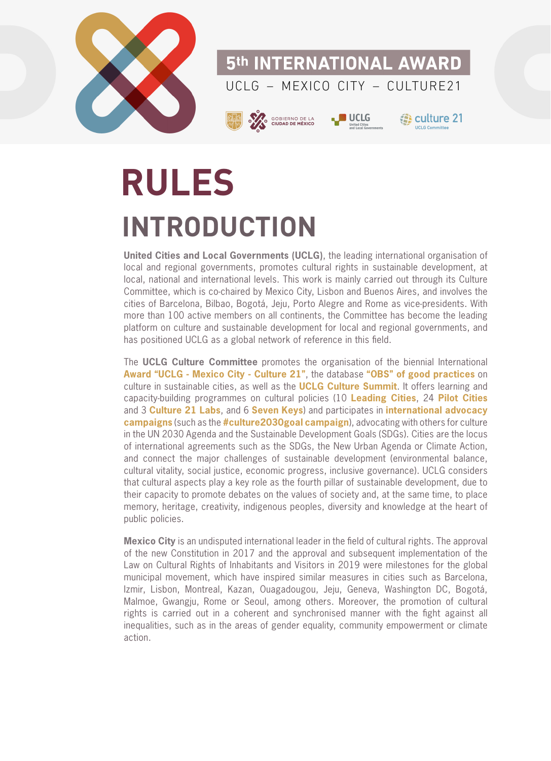

# **RULES INTRODUCTION**

**United Cities and Local Governments (UCLG)**, the leading international organisation of local and regional governments, promotes cultural rights in sustainable development, at local, national and international levels. This work is mainly carried out through its Culture Committee, which is co-chaired by Mexico City, Lisbon and Buenos Aires, and involves the cities of Barcelona, Bilbao, Bogotá, Jeju, Porto Alegre and Rome as vice-presidents. With more than 100 active members on all continents, the Committee has become the leading platform on culture and sustainable development for local and regional governments, and has positioned UCLG as a global network of reference in this field.

The **UCLG Culture Committee** promotes the organisation of the biennial International **[Award "UCLG - Mexico City - Culture 21"](https://www.agenda21culture.net/award)**, the database **["OBS" of good practices](https://www.agenda21culture.net/award)** on culture in sustainable cities, as well as the **[UCLG Culture Summit](https://agenda21culture.net/summit/uclg-culture-summit-2021)**. It offers learning and capacity-building programmes on cultural policies (10 **[Leading Cities](https://www.agenda21culture.net/our-cities/leading-cities)**, 24 **[Pilot Cities](https://www.agenda21culture.net/our-cities/pilot-cities)** and 3 **[Culture 21 Labs](https://www.agenda21culture.net/our-cities/culture-21-lab)**, and 6 **[Seven Keys](https://www.agenda21culture.net/our-cities/seven-keys)**) and participates in **[international advocacy](https://www.agenda21culture.net/advocacy/culture-as-a-goal-in-post-2015) [campaigns](https://www.agenda21culture.net/advocacy/culture-as-a-goal-in-post-2015)** (such as the **[#culture2030goal campaign](http://culture2030goal.net/)**), advocating with others for culture in the UN 2030 Agenda and the Sustainable Development Goals (SDGs). Cities are the locus of international agreements such as the SDGs, the New Urban Agenda or Climate Action, and connect the major challenges of sustainable development (environmental balance, cultural vitality, social justice, economic progress, inclusive governance). UCLG considers that cultural aspects play a key role as the fourth pillar of sustainable development, due to their capacity to promote debates on the values of society and, at the same time, to place memory, heritage, creativity, indigenous peoples, diversity and knowledge at the heart of public policies.

**Mexico City** is an undisputed international leader in the field of cultural rights. The approval of the new Constitution in 2017 and the approval and subsequent implementation of the Law on Cultural Rights of Inhabitants and Visitors in 2019 were milestones for the global municipal movement, which have inspired similar measures in cities such as Barcelona, Izmir, Lisbon, Montreal, Kazan, Ouagadougou, Jeju, Geneva, Washington DC, Bogotá, Malmoe, Gwangju, Rome or Seoul, among others. Moreover, the promotion of cultural rights is carried out in a coherent and synchronised manner with the fight against all inequalities, such as in the areas of gender equality, community empowerment or climate action.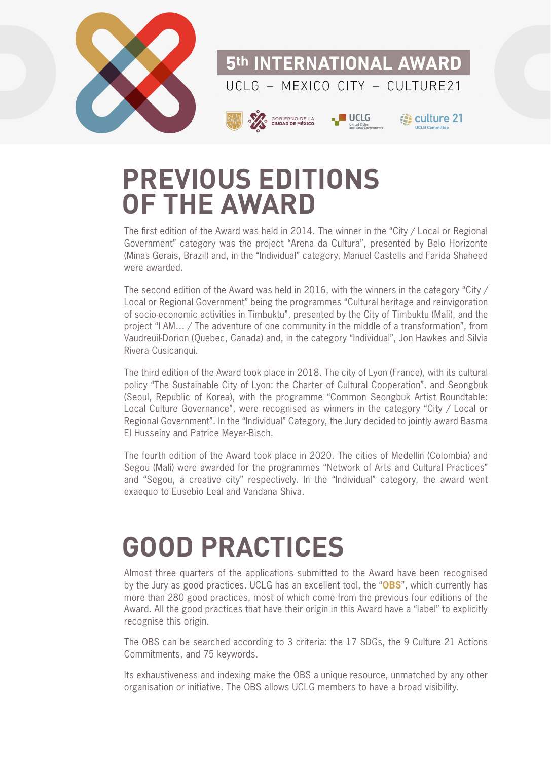

### **PREVIOUS EDITIONS OF THE AWARD**

The first edition of the Award was held in 2014. The winner in the "City / Local or Regional Government" category was the project "Arena da Cultura", presented by Belo Horizonte (Minas Gerais, Brazil) and, in the "Individual" category, Manuel Castells and Farida Shaheed were awarded.

The second edition of the Award was held in 2016, with the winners in the category "City / Local or Regional Government" being the programmes "Cultural heritage and reinvigoration of socio-economic activities in Timbuktu", presented by the City of Timbuktu (Mali), and the project "I AM… / The adventure of one community in the middle of a transformation", from Vaudreuil-Dorion (Quebec, Canada) and, in the category "Individual", Jon Hawkes and Silvia Rivera Cusicanqui.

The third edition of the Award took place in 2018. The city of Lyon (France), with its cultural policy "The Sustainable City of Lyon: the Charter of Cultural Cooperation", and Seongbuk (Seoul, Republic of Korea), with the programme "Common Seongbuk Artist Roundtable: Local Culture Governance", were recognised as winners in the category "City / Local or Regional Government". In the "Individual" Category, the Jury decided to jointly award Basma El Husseiny and Patrice Meyer-Bisch.

The fourth edition of the Award took place in 2020. The cities of Medellin (Colombia) and Segou (Mali) were awarded for the programmes "Network of Arts and Cultural Practices" and "Segou, a creative city" respectively. In the "Individual" category, the award went exaequo to Eusebio Leal and Vandana Shiva.

### **GOOD PRACTICES**

Almost three quarters of the applications submitted to the Award have been recognised by the Jury as good practices. UCLG has an excellent tool, the "**[OBS](https://obs.agenda21culture.net/home-grid)**", which currently has more than 280 good practices, most of which come from the previous four editions of the Award. All the good practices that have their origin in this Award have a "label" to explicitly recognise this origin.

The OBS can be searched according to 3 criteria: the 17 SDGs, the 9 Culture 21 Actions Commitments, and 75 keywords.

Its exhaustiveness and indexing make the OBS a unique resource, unmatched by any other organisation or initiative. The OBS allows UCLG members to have a broad visibility.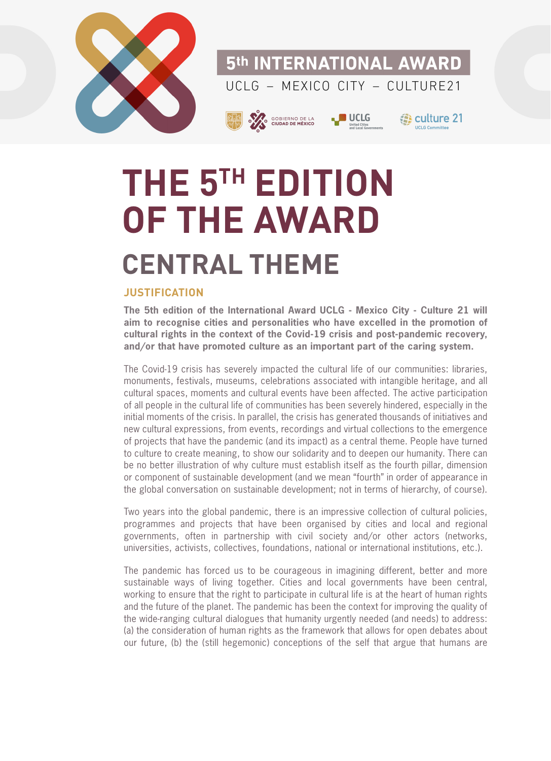

5th INTERNATIONAL AWARD  $UCIG - MFXICO CITY - CUI TURF21$ 





**B** culture 21

# **THE 5TH EDITION OF THE AWARD CENTRAL THEME**

#### **JUSTIFICATION**

**The 5th edition of the International Award UCLG - Mexico City - Culture 21 will aim to recognise cities and personalities who have excelled in the promotion of cultural rights in the context of the Covid-19 crisis and post-pandemic recovery, and/or that have promoted culture as an important part of the caring system.**

The Covid-19 crisis has severely impacted the cultural life of our communities: libraries, monuments, festivals, museums, celebrations associated with intangible heritage, and all cultural spaces, moments and cultural events have been affected. The active participation of all people in the cultural life of communities has been severely hindered, especially in the initial moments of the crisis. In parallel, the crisis has generated thousands of initiatives and new cultural expressions, from events, recordings and virtual collections to the emergence of projects that have the pandemic (and its impact) as a central theme. People have turned to culture to create meaning, to show our solidarity and to deepen our humanity. There can be no better illustration of why culture must establish itself as the fourth pillar, dimension or component of sustainable development (and we mean "fourth" in order of appearance in the global conversation on sustainable development; not in terms of hierarchy, of course).

Two years into the global pandemic, there is an impressive collection of cultural policies, programmes and projects that have been organised by cities and local and regional governments, often in partnership with civil society and/or other actors (networks, universities, activists, collectives, foundations, national or international institutions, etc.).

The pandemic has forced us to be courageous in imagining different, better and more sustainable ways of living together. Cities and local governments have been central, working to ensure that the right to participate in cultural life is at the heart of human rights and the future of the planet. The pandemic has been the context for improving the quality of the wide-ranging cultural dialogues that humanity urgently needed (and needs) to address: (a) the consideration of human rights as the framework that allows for open debates about our future, (b) the (still hegemonic) conceptions of the self that argue that humans are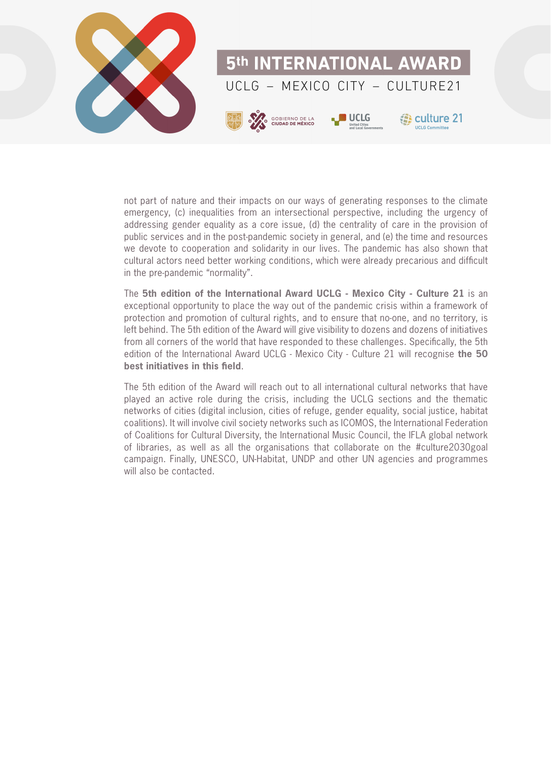

not part of nature and their impacts on our ways of generating responses to the climate emergency, (c) inequalities from an intersectional perspective, including the urgency of addressing gender equality as a core issue, (d) the centrality of care in the provision of public services and in the post-pandemic society in general, and (e) the time and resources we devote to cooperation and solidarity in our lives. The pandemic has also shown that cultural actors need better working conditions, which were already precarious and difficult in the pre-pandemic "normality".

The **5th edition of the International Award UCLG - Mexico City - Culture 21** is an exceptional opportunity to place the way out of the pandemic crisis within a framework of protection and promotion of cultural rights, and to ensure that no-one, and no territory, is left behind. The 5th edition of the Award will give visibility to dozens and dozens of initiatives from all corners of the world that have responded to these challenges. Specifically, the 5th edition of the International Award UCLG - Mexico City - Culture 21 will recognise **the 50 best initiatives in this field**.

The 5th edition of the Award will reach out to all international cultural networks that have played an active role during the crisis, including the UCLG sections and the thematic networks of cities (digital inclusion, cities of refuge, gender equality, social justice, habitat coalitions). It will involve civil society networks such as ICOMOS, the International Federation of Coalitions for Cultural Diversity, the International Music Council, the IFLA global network of libraries, as well as all the organisations that collaborate on the #culture2030goal campaign. Finally, UNESCO, UN-Habitat, UNDP and other UN agencies and programmes will also be contacted.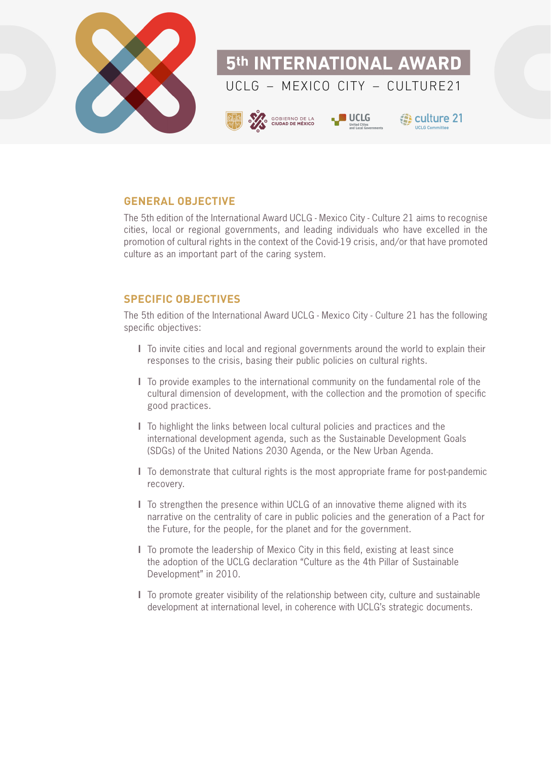

#### **GENERAL OBJECTIVE**

The 5th edition of the International Award UCLG - Mexico City - Culture 21 aims to recognise cities, local or regional governments, and leading individuals who have excelled in the promotion of cultural rights in the context of the Covid-19 crisis, and/or that have promoted culture as an important part of the caring system.

#### **SPECIFIC OBJECTIVES**

The 5th edition of the International Award UCLG - Mexico City - Culture 21 has the following specific objectives:

- **l** To invite cities and local and regional governments around the world to explain their responses to the crisis, basing their public policies on cultural rights.
- **l** To provide examples to the international community on the fundamental role of the cultural dimension of development, with the collection and the promotion of specific good practices.
- **l** To highlight the links between local cultural policies and practices and the international development agenda, such as the Sustainable Development Goals (SDGs) of the United Nations 2030 Agenda, or the New Urban Agenda.
- **l** To demonstrate that cultural rights is the most appropriate frame for post-pandemic recovery.
- **l** To strengthen the presence within UCLG of an innovative theme aligned with its narrative on the centrality of care in public policies and the generation of a Pact for the Future, for the people, for the planet and for the government.
- **l** To promote the leadership of Mexico City in this field, existing at least since the adoption of the UCLG declaration "Culture as the 4th Pillar of Sustainable Development" in 2010.
- **l** To promote greater visibility of the relationship between city, culture and sustainable development at international level, in coherence with UCLG's strategic documents.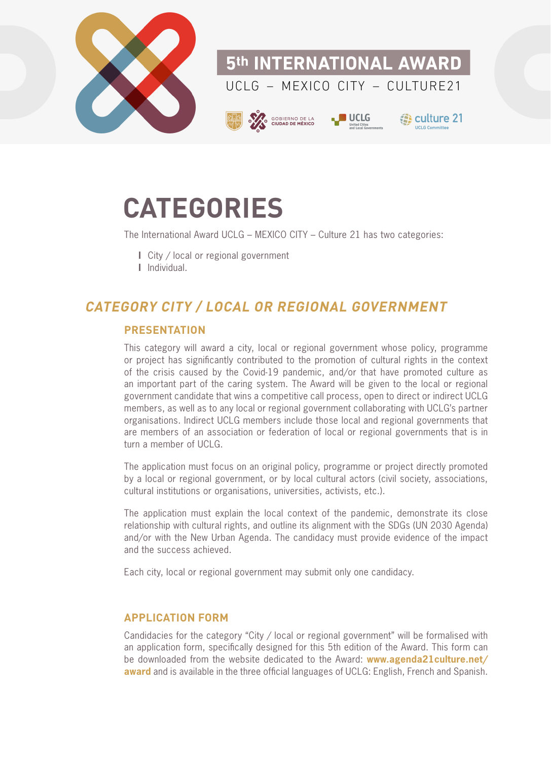

### **CATEGORIES**

The International Award UCLG – MEXICO CITY – Culture 21 has two categories:

- **l** City / local or regional government
- **l** Individual.

#### **CATEGORY CITY / LOCAL OR REGIONAL GOVERNMENT**

#### **PRESENTATION**

This category will award a city, local or regional government whose policy, programme or project has significantly contributed to the promotion of cultural rights in the context of the crisis caused by the Covid-19 pandemic, and/or that have promoted culture as an important part of the caring system. The Award will be given to the local or regional government candidate that wins a competitive call process, open to direct or indirect UCLG members, as well as to any local or regional government collaborating with UCLG's partner organisations. Indirect UCLG members include those local and regional governments that are members of an association or federation of local or regional governments that is in turn a member of UCLG.

The application must focus on an original policy, programme or project directly promoted by a local or regional government, or by local cultural actors (civil society, associations, cultural institutions or organisations, universities, activists, etc.).

The application must explain the local context of the pandemic, demonstrate its close relationship with cultural rights, and outline its alignment with the SDGs (UN 2030 Agenda) and/or with the New Urban Agenda. The candidacy must provide evidence of the impact and the success achieved.

Each city, local or regional government may submit only one candidacy.

#### **APPLICATION FORM**

Candidacies for the category "City / local or regional government" will be formalised with an application form, specifically designed for this 5th edition of the Award. This form can be downloaded from the website dedicated to the Award: **[www.agenda21culture.net/](https://www.agenda21culture.net/award) [award](https://www.agenda21culture.net/award)** and is available in the three official languages of UCLG: English, French and Spanish.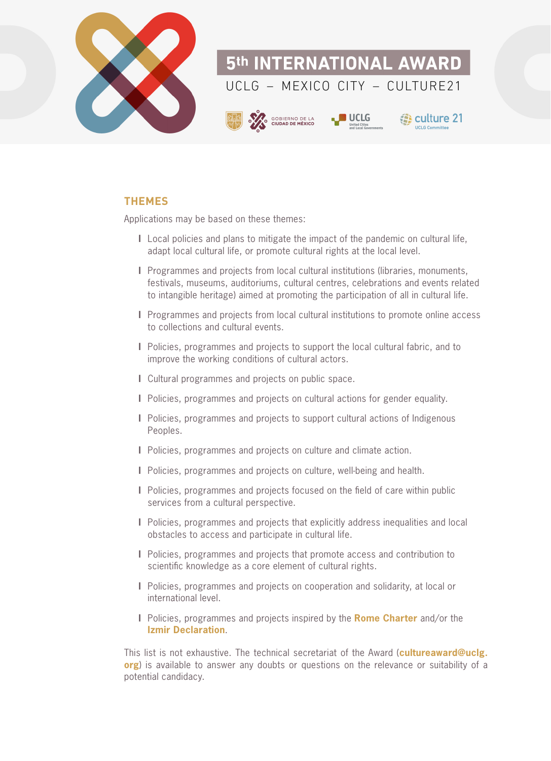

#### **THEMES**

Applications may be based on these themes:

- **l** Local policies and plans to mitigate the impact of the pandemic on cultural life, adapt local cultural life, or promote cultural rights at the local level.
- **l** Programmes and projects from local cultural institutions (libraries, monuments, festivals, museums, auditoriums, cultural centres, celebrations and events related to intangible heritage) aimed at promoting the participation of all in cultural life.
- **l** Programmes and projects from local cultural institutions to promote online access to collections and cultural events.
- **l** Policies, programmes and projects to support the local cultural fabric, and to improve the working conditions of cultural actors.
- **l** Cultural programmes and projects on public space.
- **l** Policies, programmes and projects on cultural actions for gender equality.
- **l** Policies, programmes and projects to support cultural actions of Indigenous Peoples.
- **l** Policies, programmes and projects on culture and climate action.
- **l** Policies, programmes and projects on culture, well-being and health.
- **l** Policies, programmes and projects focused on the field of care within public services from a cultural perspective.
- **l** Policies, programmes and projects that explicitly address inequalities and local obstacles to access and participate in cultural life.
- **l** Policies, programmes and projects that promote access and contribution to scientific knowledge as a core element of cultural rights.
- **l** Policies, programmes and projects on cooperation and solidarity, at local or international level.
- **l** Policies, programmes and projects inspired by the **[Rome Charter](https://agenda21culture.net/2020-rome-charter)** and/or the **[Izmir Declaration](https://agenda21culture.net/sites/default/files/izmir2021_statement_en.pdf)**.

This list is not exhaustive. The technical secretariat of the Award (**[cultureaward@uclg.](mailto:cultureaward@uclg.org) [org](mailto:cultureaward@uclg.org)**) is available to answer any doubts or questions on the relevance or suitability of a potential candidacy.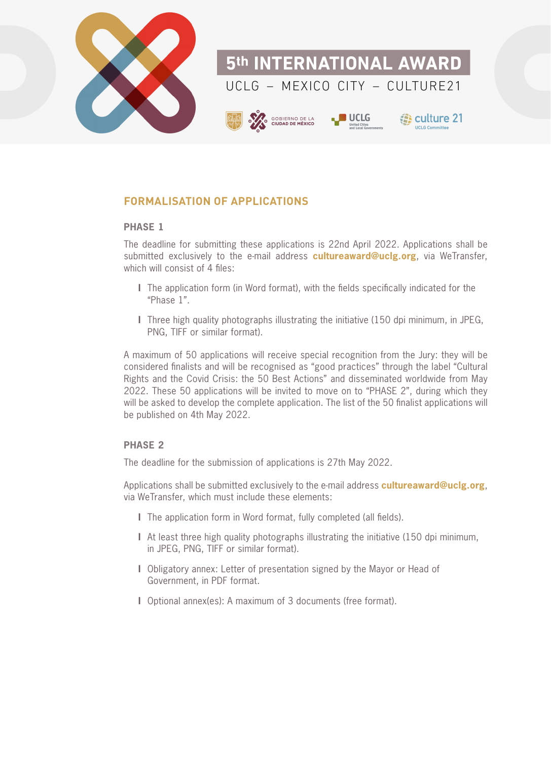

#### **FORMALISATION OF APPLICATIONS**

#### **PHASE 1**

The deadline for submitting these applications is 22nd April 2022. Applications shall be submitted exclusively to the e-mail address **[cultureaward@uclg.org](mailto:cultureaward%40uclg.org?subject=)**, via WeTransfer, which will consist of 4 files:

- **l** The application form (in Word format), with the fields specifically indicated for the "Phase 1".
- **l** Three high quality photographs illustrating the initiative (150 dpi minimum, in JPEG, PNG, TIFF or similar format).

A maximum of 50 applications will receive special recognition from the Jury: they will be considered finalists and will be recognised as "good practices" through the label "Cultural Rights and the Covid Crisis: the 50 Best Actions" and disseminated worldwide from May 2022. These 50 applications will be invited to move on to "PHASE 2", during which they will be asked to develop the complete application. The list of the 50 finalist applications will be published on 4th May 2022.

#### **PHASE 2**

The deadline for the submission of applications is 27th May 2022.

Applications shall be submitted exclusively to the e-mail address **[cultureaward@uclg.org](mailto:cultureaward%40uclg.org?subject=)**, via WeTransfer, which must include these elements:

- **l** The application form in Word format, fully completed (all fields).
- **l** At least three high quality photographs illustrating the initiative (150 dpi minimum, in JPEG, PNG, TIFF or similar format).
- **l** Obligatory annex: Letter of presentation signed by the Mayor or Head of Government, in PDF format.
- **l** Optional annex(es): A maximum of 3 documents (free format).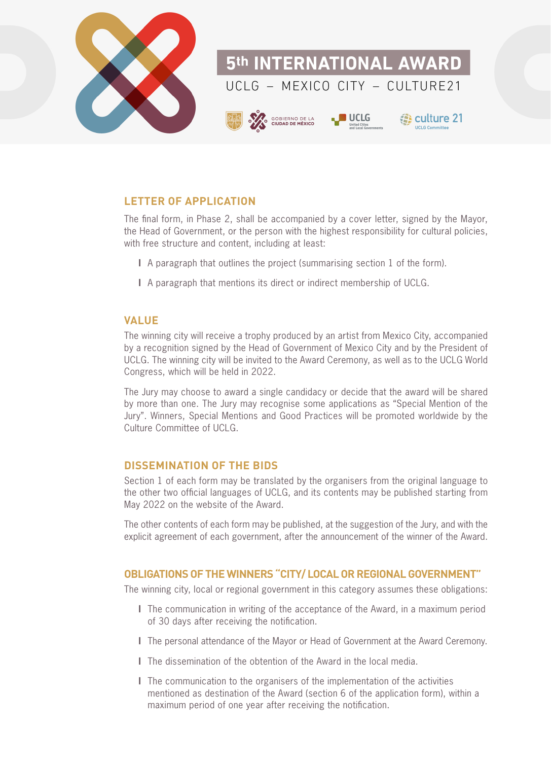

#### **LETTER OF APPLICATION**

The final form, in Phase 2, shall be accompanied by a cover letter, signed by the Mayor, the Head of Government, or the person with the highest responsibility for cultural policies, with free structure and content, including at least:

- **l** A paragraph that outlines the project (summarising section 1 of the form).
- **l** A paragraph that mentions its direct or indirect membership of UCLG.

#### **VALUE**

The winning city will receive a trophy produced by an artist from Mexico City, accompanied by a recognition signed by the Head of Government of Mexico City and by the President of UCLG. The winning city will be invited to the Award Ceremony, as well as to the UCLG World Congress, which will be held in 2022.

The Jury may choose to award a single candidacy or decide that the award will be shared by more than one. The Jury may recognise some applications as "Special Mention of the Jury". Winners, Special Mentions and Good Practices will be promoted worldwide by the Culture Committee of UCLG.

#### **DISSEMINATION OF THE BIDS**

Section 1 of each form may be translated by the organisers from the original language to the other two official languages of UCLG, and its contents may be published starting from May 2022 on the website of the Award.

The other contents of each form may be published, at the suggestion of the Jury, and with the explicit agreement of each government, after the announcement of the winner of the Award.

#### **OBLIGATIONS OF THE WINNERS "CITY/ LOCAL OR REGIONAL GOVERNMENT"**

The winning city, local or regional government in this category assumes these obligations:

- **l** The communication in writing of the acceptance of the Award, in a maximum period of 30 days after receiving the notification.
- **l** The personal attendance of the Mayor or Head of Government at the Award Ceremony.
- **l** The dissemination of the obtention of the Award in the local media.
- **l** The communication to the organisers of the implementation of the activities mentioned as destination of the Award (section 6 of the application form), within a maximum period of one year after receiving the notification.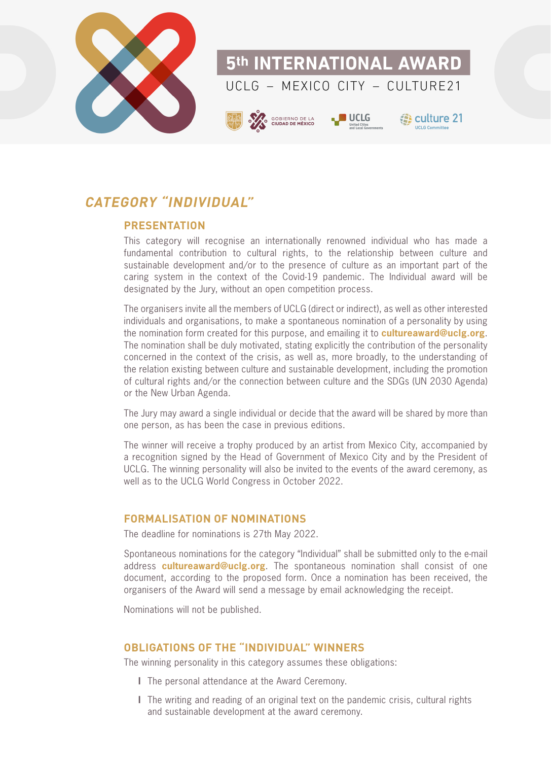

#### **CATEGORY "INDIVIDUAL"**

#### **PRESENTATION**

This category will recognise an internationally renowned individual who has made a fundamental contribution to cultural rights, to the relationship between culture and sustainable development and/or to the presence of culture as an important part of the caring system in the context of the Covid-19 pandemic. The Individual award will be designated by the Jury, without an open competition process.

The organisers invite all the members of UCLG (direct or indirect), as well as other interested individuals and organisations, to make a spontaneous nomination of a personality by using the nomination form created for this purpose, and emailing it to **[cultureaward@uclg.org](mailto:cultureaward%40uclg.org?subject=)**. The nomination shall be duly motivated, stating explicitly the contribution of the personality concerned in the context of the crisis, as well as, more broadly, to the understanding of the relation existing between culture and sustainable development, including the promotion of cultural rights and/or the connection between culture and the SDGs (UN 2030 Agenda) or the New Urban Agenda.

The Jury may award a single individual or decide that the award will be shared by more than one person, as has been the case in previous editions.

The winner will receive a trophy produced by an artist from Mexico City, accompanied by a recognition signed by the Head of Government of Mexico City and by the President of UCLG. The winning personality will also be invited to the events of the award ceremony, as well as to the UCLG World Congress in October 2022.

#### **FORMALISATION OF NOMINATIONS**

The deadline for nominations is 27th May 2022.

Spontaneous nominations for the category "Individual" shall be submitted only to the e-mail address **[cultureaward@uclg.org](mailto:cultureaward%40uclg.org?subject=)**. The spontaneous nomination shall consist of one document, according to the proposed form. Once a nomination has been received, the organisers of the Award will send a message by email acknowledging the receipt.

Nominations will not be published.

#### **OBLIGATIONS OF THE "INDIVIDUAL" WINNERS**

The winning personality in this category assumes these obligations:

- **l** The personal attendance at the Award Ceremony.
- **l** The writing and reading of an original text on the pandemic crisis, cultural rights and sustainable development at the award ceremony.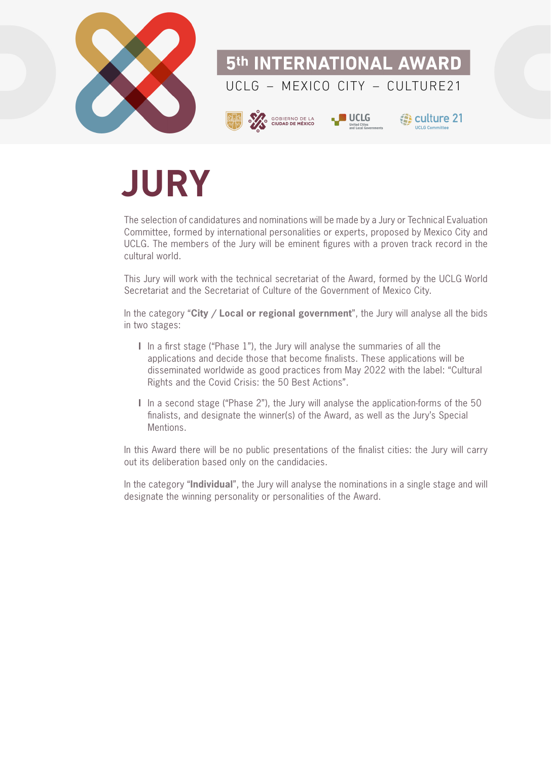

## **JURY**

The selection of candidatures and nominations will be made by a Jury or Technical Evaluation Committee, formed by international personalities or experts, proposed by Mexico City and UCLG. The members of the Jury will be eminent figures with a proven track record in the cultural world.

This Jury will work with the technical secretariat of the Award, formed by the UCLG World Secretariat and the Secretariat of Culture of the Government of Mexico City.

In the category "**City / Local or regional government**", the Jury will analyse all the bids in two stages:

- **l** In a first stage ("Phase 1"), the Jury will analyse the summaries of all the applications and decide those that become finalists. These applications will be disseminated worldwide as good practices from May 2022 with the label: "Cultural Rights and the Covid Crisis: the 50 Best Actions".
- **l** In a second stage ("Phase 2"), the Jury will analyse the application-forms of the 50 finalists, and designate the winner(s) of the Award, as well as the Jury's Special Mentions.

In this Award there will be no public presentations of the finalist cities: the Jury will carry out its deliberation based only on the candidacies.

In the category "**Individual**", the Jury will analyse the nominations in a single stage and will designate the winning personality or personalities of the Award.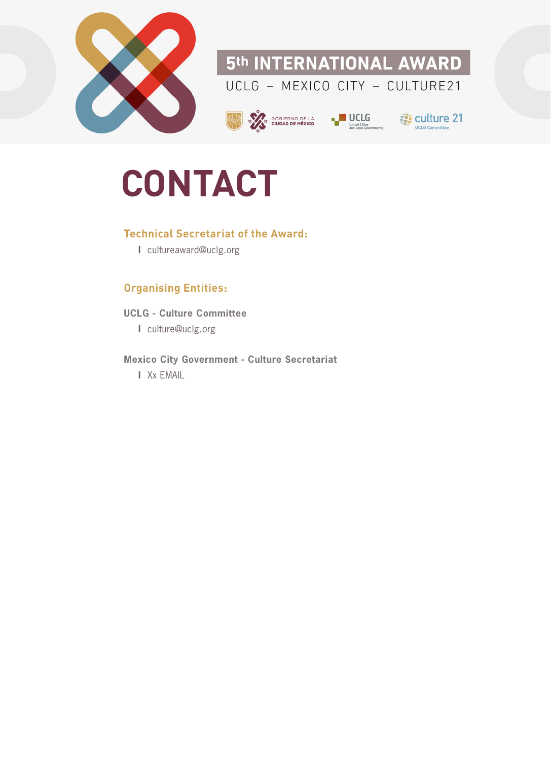

#### 5th INTERNATIONAL AWARD UCLG - MEXICO CITY - CULTURE21





**3** culture 21 **UCLG Come** 

# **CONTACT**

#### **Technical Secretariat of the Award:**

**l** cultureaward@uclg.org

#### **Organising Entities:**

**UCLG - Culture Committee l** culture@uclg.org

**Mexico City Government - Culture Secretariat l** Xx EMAIL